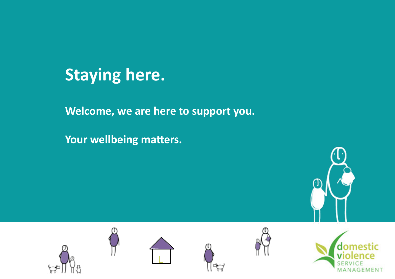

**Welcome, we are here to support you.**

**Your wellbeing matters.**











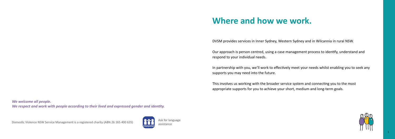DVSM provides services in Inner Sydney, Western Sydney and in Wilcannia in rural NSW.

Our approach is person centred, using a case management process to identify, understand and respond to your individual needs.

In partnership with you, we'll work to effectively meet your needs whilst enabling you to seek any supports you may need into the future.

This involves us working with the broader service system and connecting you to the most appropriate supports for you to achieve your short, medium and long-term goals.

# **Where and how we work.**

*We welcome all people. We respect and work with people according to their lived and expressed gender and identity.*

Domestic Violence NSW Service Management is a registered charity (ABN 26 165 400 635)



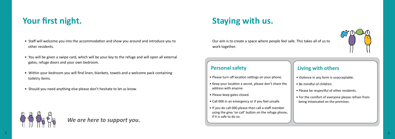- Staff will welcome you into the accommodation and show you around and introduce you to other residents.
- You will be given a swipe card, which will be your key to the refuge and will open all external gates, refuge doors and your own bedroom.
- Within your bedroom you will find linen, blankets, towels and a welcome pack containing toiletry items.
- Should you need anything else please don't hesitate to let us know.



# **Your first night.**

Our aim is to create a space where people feel safe. This takes all of us to work together.

# **Staying with us.**

*We are here to support you.*

- Please turn off location settings on your phone.
- Keep your location a secret, please don't share the address with anyone.
- Please keep gates closed.
- Call 000 in an emergency or if you feel unsafe.
- If you do call 000 please then call a staff member using the grey 'on call' button on the refuge phone, if it is safe to do so.



## **Personal safety**

- Violence in any form is unacceptable.
- Be mindful of children.
- Please be respectful of other residents.
- For the comfort of everyone please refrain from being intoxicated on the premises.

## **Living with others**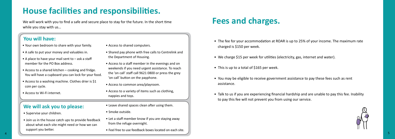We will work with you to find a safe and secure place to stay for the future. In the short time while you stay with us…

# **House facilities and responsibilities.**

- Your own bedroom to share with your family.
- A safe to put your money and valuables in.
- A place to have your mail sent to  $-$  ask a staff member for the PO Box address.
- Access to a shared kitchen cooking and fridge. You will have a cupboard you can lock for your food.
- Access to a washing machine. Clothes drier is \$1 coin per cycle.
- Access to Wi-Fi internet.

## **You will have:**

## **We will ask you to please:**

- The fee for your accommodation at ROAR is up to 25% of your income. The maximum rate charged is \$150 per week.
- We charge \$15 per week for utilities (electricity, gas, internet and water).
- This is up to a total of \$165 per week.
- You may be eligible to receive government assistance to pay these fees such as rent assistance.
- Talk to us if you are experiencing financial hardship and are unable to pay this fee. Inability to pay this fee will not prevent you from using our service.



# **Fees and charges.**

- Supervise your children.
- Join us in the house catch ups to provide feedback about what each site might need or how we can support you better.
- Access to shared computers.
- Shared pay phone with free calls to Centrelink and the Department of Housing.
- Access to a staff member in the evenings and on weekends if you need urgent assistance. To reach the 'on call' staff call 9621 0800 or press the grey 'on call' button on the payphone.
- Access to common area/playroom.
- Access to a variety of items such as clothing, nappies and toys.
- Leave shared spaces clean after using them.
- Smoke outside.
- Let a staff member know if you are staying away from the refuge overnight.
- $\overline{4}$   $\overline{5}$ • Feel free to use feedback boxes located on each site.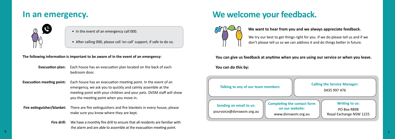# **We welcome your feedback.**



## **We want to hear from you and we always appreciate feedback.**

**You can give us feedback at anytime when you are using our service or when you leave.**

**You can do this by:** 

- In the event of an emergency call 000.
- After calling 000, please call 'on call' support, if safe to do so.

## **In an emergency.**



## **The following information is important to be aware of in the event of an emergency:**

**Fire drill:** We have a monthly fire drill to ensure that all residents are familiar with the alarm and are able to assemble at the evacuation meeting point.

- **Evacuation plan:** Each house has an evacuation plan located on the back of each bedroom door.
- **Evacuation meeting point:** Each house has an evacuation meeting point. In the event of an emergency, we ask you to quickly and calmly assemble at the meeting point with your children and your pets. DVSM staff will show you the meeting point when you move in.

| Talking to any of our team members                  |                                                                  |
|-----------------------------------------------------|------------------------------------------------------------------|
| Sending an email to us:<br>yourvoice@dvnswsm.org.au | <b>Completing the contracts</b><br>on our websi<br>www.dvnswsm.c |





 **Fire extinguisher/blanket:** There are fire extinguishers and fire blankets in every house, please make sure you know where they are kept.

We try our best to get things right for you. If we do please tell us and if we don't please tell us so we can address it and do things better in future.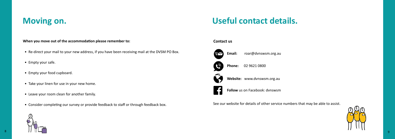



# **Useful contact details.**

**When you move out of the accommodation please remember to:**

- Re-direct your mail to your new address, if you have been receiving mail at the DVSM PO Box.
- Empty your safe.
- Empty your food cupboard.
- Take your linen for use in your new home.
- Leave your room clean for another family.
- Consider completing our survey or provide feedback to staff or through feedback box.

# **Moving on.**



### **Contact us**

See our website for details of other service numbers that may be able to assist.